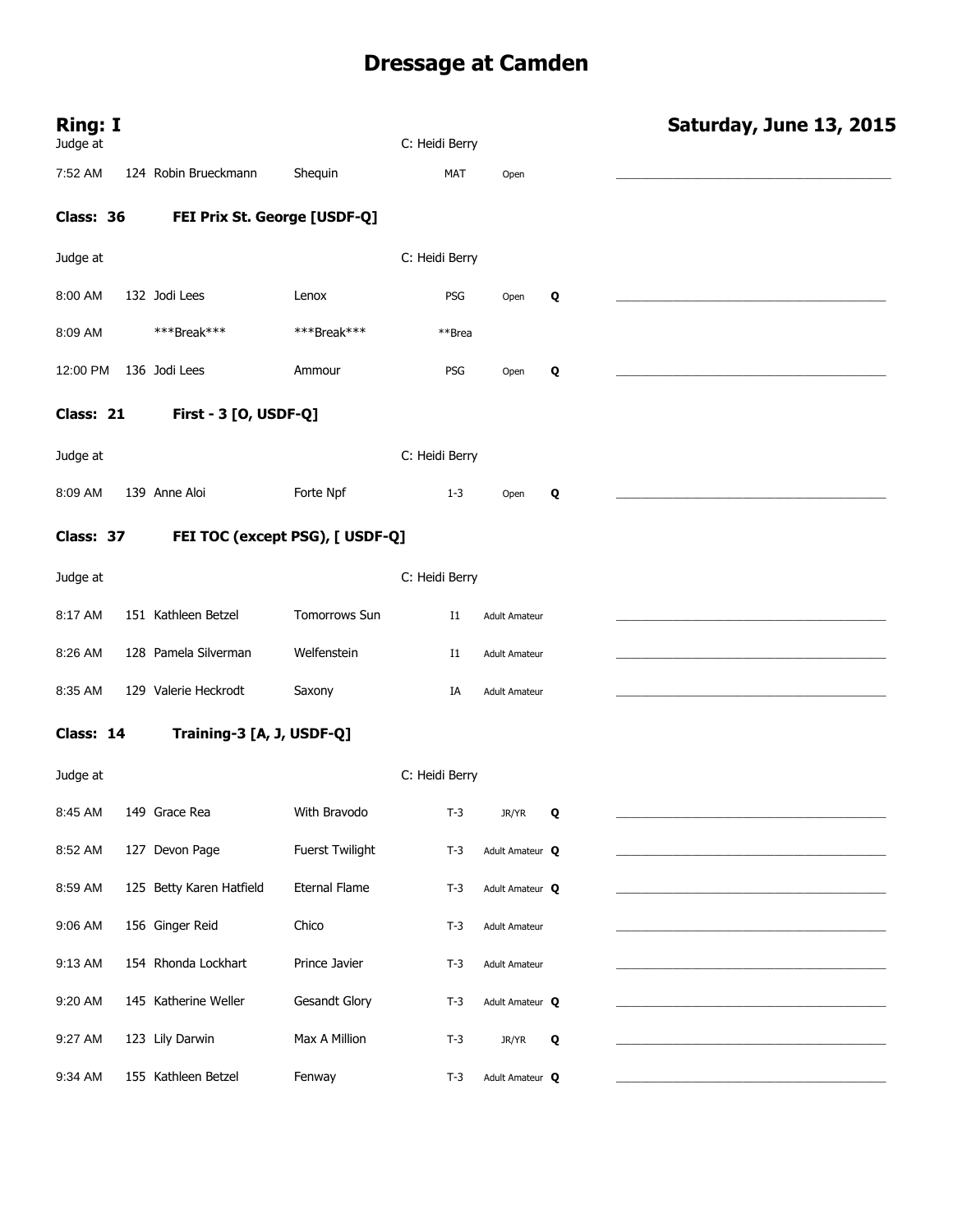# **Dressage at Camden**

| <b>Ring: I</b><br>Judge at |                           |                                 | C: Heidi Berry |                      |   | Saturday, June 13, 2015 |
|----------------------------|---------------------------|---------------------------------|----------------|----------------------|---|-------------------------|
| 7:52 AM                    | 124 Robin Brueckmann      | Shequin                         | <b>MAT</b>     | Open                 |   |                         |
| Class: 36                  |                           | FEI Prix St. George [USDF-Q]    |                |                      |   |                         |
| Judge at                   |                           |                                 | C: Heidi Berry |                      |   |                         |
| 8:00 AM                    | 132 Jodi Lees             | Lenox                           | PSG            | Open                 | Q |                         |
| 8:09 AM                    | ***Break***               | ***Break***                     | **Brea         |                      |   |                         |
| 12:00 PM                   | 136 Jodi Lees             | Ammour                          | PSG            | Open                 | Q |                         |
| Class: 21                  | First - 3 [O, USDF-Q]     |                                 |                |                      |   |                         |
| Judge at                   |                           |                                 | C: Heidi Berry |                      |   |                         |
| 8:09 AM                    | 139 Anne Aloi             | Forte Npf                       | $1-3$          | Open                 | Q |                         |
| Class: 37                  |                           | FEI TOC (except PSG), [ USDF-Q] |                |                      |   |                         |
| Judge at                   |                           |                                 | C: Heidi Berry |                      |   |                         |
| 8:17 AM                    | 151 Kathleen Betzel       | Tomorrows Sun                   | I1             | <b>Adult Amateur</b> |   |                         |
| 8:26 AM                    | 128 Pamela Silverman      | Welfenstein                     | $_{\rm I1}$    | <b>Adult Amateur</b> |   |                         |
| 8:35 AM                    | 129 Valerie Heckrodt      | Saxony                          | IA             | <b>Adult Amateur</b> |   |                         |
| Class: 14                  | Training-3 [A, J, USDF-Q] |                                 |                |                      |   |                         |
| Judge at                   |                           |                                 | C: Heidi Berry |                      |   |                         |
| 8:45 AM                    | 149 Grace Rea             | With Bravodo                    | $T-3$          | JR/YR                | Q |                         |
| 8:52 AM                    | 127 Devon Page            | Fuerst Twilight                 | $T-3$          | Adult Amateur Q      |   |                         |
| 8:59 AM                    | 125 Betty Karen Hatfield  | <b>Eternal Flame</b>            | $T-3$          | Adult Amateur Q      |   |                         |
| 9:06 AM                    | 156 Ginger Reid           | Chico                           | $T-3$          | <b>Adult Amateur</b> |   |                         |
| 9:13 AM                    | 154 Rhonda Lockhart       | Prince Javier                   | $T-3$          | <b>Adult Amateur</b> |   |                         |
| 9:20 AM                    | 145 Katherine Weller      | <b>Gesandt Glory</b>            | $T-3$          | Adult Amateur Q      |   |                         |
| 9:27 AM                    | 123 Lily Darwin           | Max A Million                   | $T-3$          | JR/YR                | Q |                         |
| 9:34 AM                    | 155 Kathleen Betzel       | Fenway                          | $T-3$          | Adult Amateur Q      |   |                         |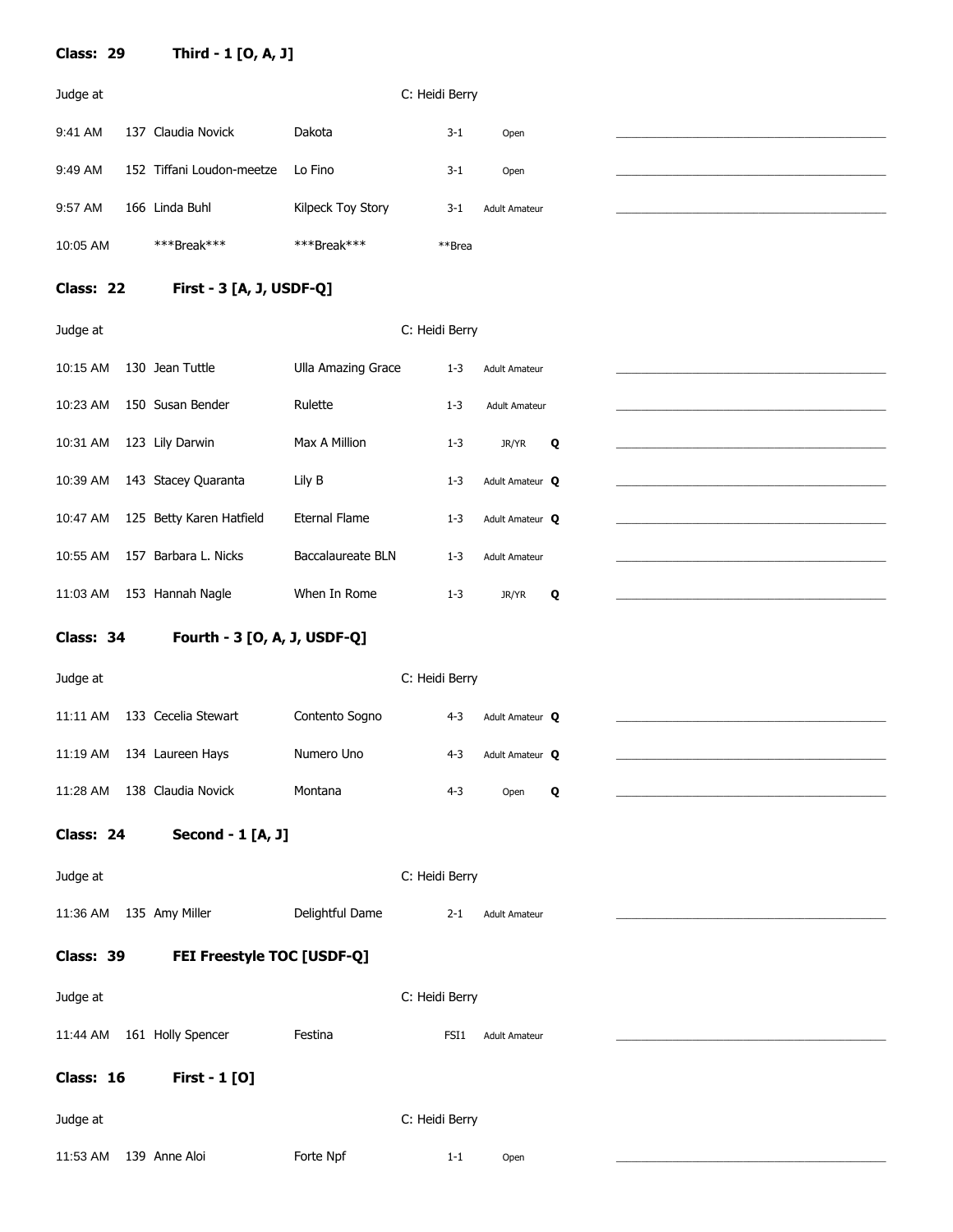| Class: 29 | Third - 1 [O, A, J]          |                           |                |                      |   |
|-----------|------------------------------|---------------------------|----------------|----------------------|---|
| Judge at  |                              |                           | C: Heidi Berry |                      |   |
| 9:41 AM   | 137 Claudia Novick           | Dakota                    | $3 - 1$        | Open                 |   |
| 9:49 AM   | 152 Tiffani Loudon-meetze    | Lo Fino                   | $3 - 1$        | Open                 |   |
| 9:57 AM   | 166 Linda Buhl               | Kilpeck Toy Story         | $3 - 1$        | <b>Adult Amateur</b> |   |
| 10:05 AM  | ***Break***                  | ***Break***               | **Brea         |                      |   |
| Class: 22 | First - 3 [A, J, USDF-Q]     |                           |                |                      |   |
| Judge at  |                              |                           | C: Heidi Berry |                      |   |
| 10:15 AM  | 130 Jean Tuttle              | <b>Ulla Amazing Grace</b> | $1 - 3$        | <b>Adult Amateur</b> |   |
| 10:23 AM  | 150 Susan Bender             | Rulette                   | $1 - 3$        | <b>Adult Amateur</b> |   |
| 10:31 AM  | 123 Lily Darwin              | Max A Million             | $1 - 3$        | JR/YR                | Q |
| 10:39 AM  | 143 Stacey Quaranta          | Lily B                    | $1 - 3$        | Adult Amateur Q      |   |
| 10:47 AM  | 125 Betty Karen Hatfield     | <b>Eternal Flame</b>      | $1 - 3$        | Adult Amateur Q      |   |
| 10:55 AM  | 157 Barbara L. Nicks         | Baccalaureate BLN         | $1 - 3$        | <b>Adult Amateur</b> |   |
| 11:03 AM  | 153 Hannah Nagle             | When In Rome              | $1 - 3$        | JR/YR                | Q |
| Class: 34 | Fourth - 3 [O, A, J, USDF-Q] |                           |                |                      |   |
| Judge at  |                              |                           | C: Heidi Berry |                      |   |
| 11:11 AM  | 133 Cecelia Stewart          | Contento Sogno            | $4 - 3$        | Adult Amateur Q      |   |
| 11:19 AM  | 134 Laureen Hays             | Numero Uno                | $4 - 3$        | Adult Amateur Q      |   |
| 11:28 AM  | 138 Claudia Novick           | Montana                   | $4 - 3$        | Open                 | Q |

#### **Class: 24 Second - 1 [A, J]**

Judge at C: Heidi Berry

| 11:36 AM 135 Amy Miller | Delightful Dame | $2 - 1$ | L Adult Amateur |  |
|-------------------------|-----------------|---------|-----------------|--|
|                         |                 |         |                 |  |

#### **Class: 39 FEI Freestyle TOC [USDF-Q]**

| Judge at                          |           | C: Heidi Berry |                      |  |
|-----------------------------------|-----------|----------------|----------------------|--|
| 161 Holly Spencer<br>11:44 AM     | Festina   | FSI1           | <b>Adult Amateur</b> |  |
| <b>First - 1 [0]</b><br>Class: 16 |           |                |                      |  |
| Judge at                          |           | C: Heidi Berry |                      |  |
| 139 Anne Aloi<br>11:53 AM         | Forte Npf | $1 - 1$        | Open                 |  |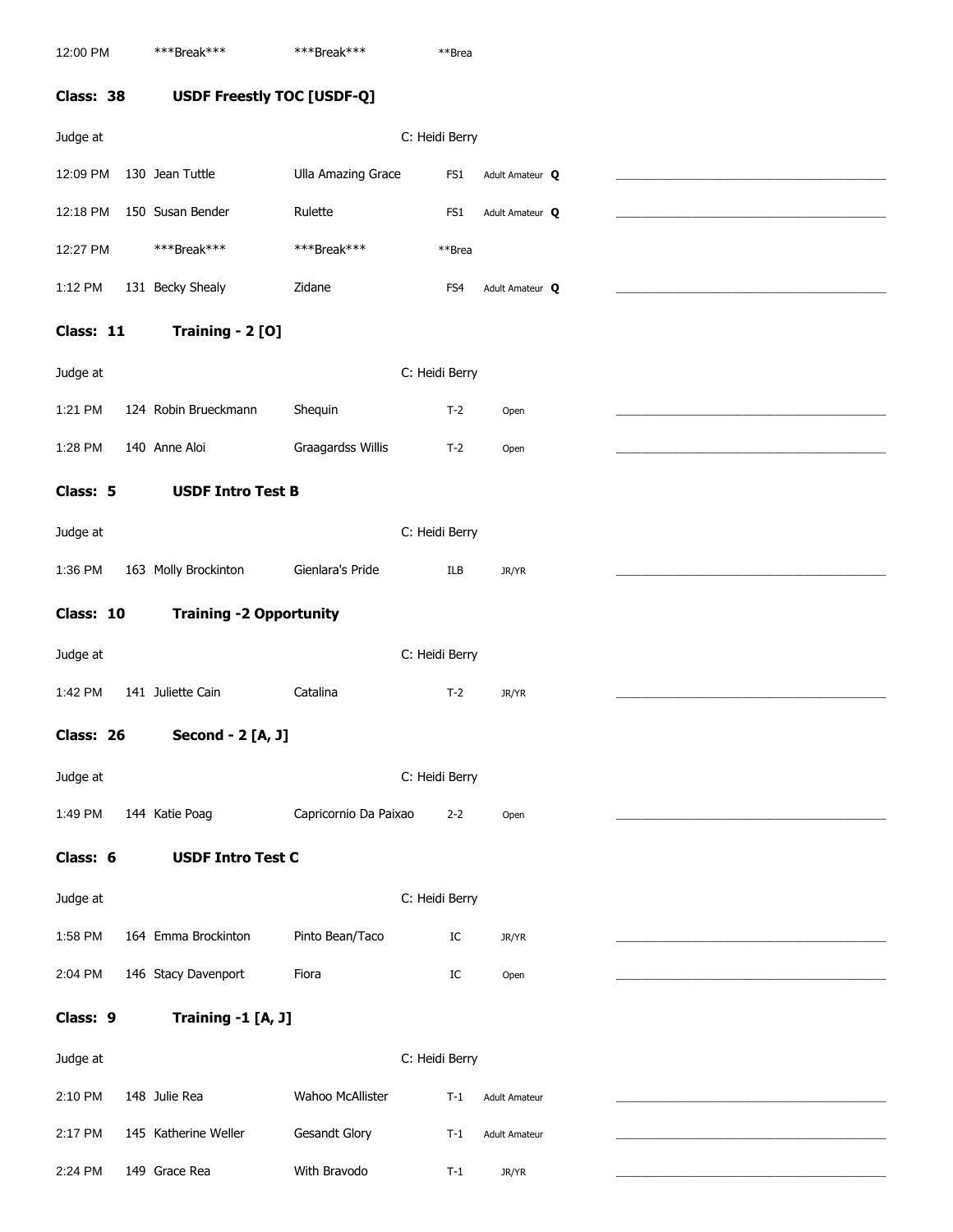**Class: 38 USDF Freestly TOC [USDF-Q]**  Judge at C: Heidi Berry 12:09 PM 130 Jean Tuttle Ulla Amazing Grace FS1 Adult Amateur **Q** \_\_\_\_\_\_\_\_\_\_\_\_\_\_\_\_\_\_\_\_\_\_\_\_\_\_\_\_\_\_\_\_\_\_\_\_\_\_\_\_\_\_\_\_\_\_\_\_\_\_\_\_\_ 12:18 PM 150 Susan Bender Rulette **FS1** Adult Amateur **Q** 12:27 PM \*\*\*\*Break\*\*\* \*\*\*\*Break\*\*\* \*\*\*Break\*\*\* 1:12 PM 131 Becky Shealy 2idane FS4 Adult Amateur **Q Class: 11 Training - 2 [O]**  Judge at C: Heidi Berry 1:21 PM 124 Robin Brueckmann Shequin T-2 Open 1:28 PM 140 Anne Aloi Graagardss Willis T-2 Open **Class: 5 USDF Intro Test B**  Judge at C: Heidi Berry 1:36 PM 163 Molly Brockinton Gienlara's Pride ILB JR/YR **Class: 10 Training -2 Opportunity**  Judge at C: Heidi Berry 1:42 PM 141 Juliette Cain Catalina T-2 JR/YR \_\_\_\_\_\_\_\_\_\_\_\_\_\_\_\_\_\_\_\_\_\_\_\_\_\_\_\_\_\_\_\_\_\_\_\_\_\_\_\_\_\_\_\_\_\_\_\_\_\_\_\_\_ **Class: 26 Second - 2 [A, J]**  Judge at C: Heidi Berry 1:49 PM 144 Katie Poag Capricornio Da Paixao 2-2 Open **Class: 6 USDF Intro Test C**  Judge at C: Heidi Berry 1:58 PM 164 Emma Brockinton Pinto Bean/Taco IC JR/YR 2:04 PM 146 Stacy Davenport Fiora Fiora and IC Open **Class: 9 Training -1 [A, J]**  Judge at C: Heidi Berry 2:10 PM 148 Julie Rea Wahoo McAllister T-1 Adult Amateur 2:17 PM 145 Katherine Weller Gesandt Glory T-1 Adult Amateur

2:24 PM 149 Grace Rea With Bravodo T-1 JR/YR \_\_\_\_\_\_\_\_\_\_\_\_\_\_\_\_\_\_\_\_\_\_\_\_\_\_\_\_\_\_\_\_\_\_\_\_\_\_\_\_\_\_\_\_\_\_\_\_\_\_\_\_\_

12:00 PM \*\*\*\*Break\*\*\* \*\*\*\*\* \*\*\*\*Break\*\*\* \*\*\*\* \*\*\* \*\*\* Brea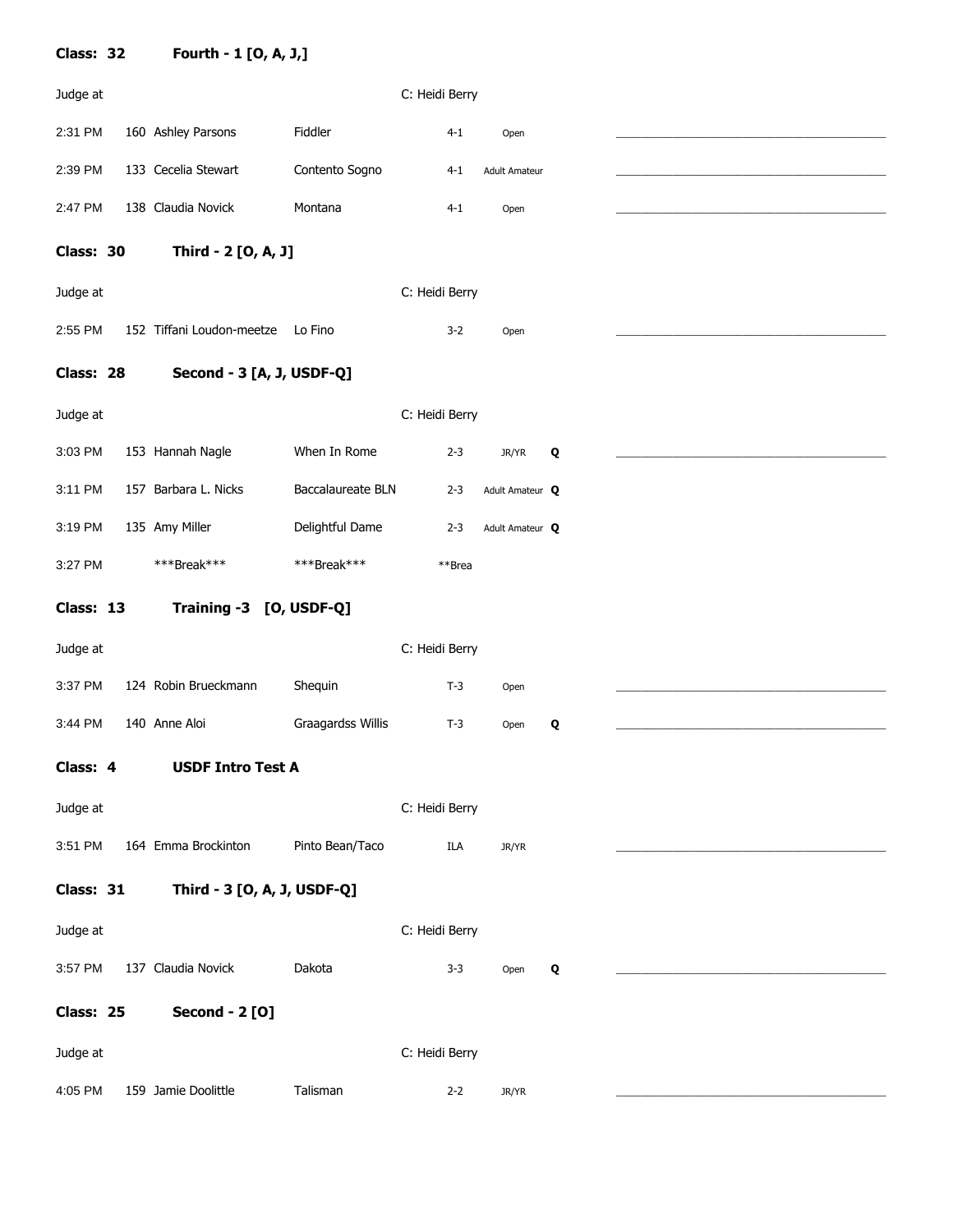| Class: 32 | Fourth - 1 [O, A, J,]       |                   |                |         |                      |   |
|-----------|-----------------------------|-------------------|----------------|---------|----------------------|---|
| Judge at  |                             |                   | C: Heidi Berry |         |                      |   |
| 2:31 PM   | 160 Ashley Parsons          | Fiddler           |                | $4 - 1$ | Open                 |   |
| 2:39 PM   | 133 Cecelia Stewart         | Contento Sogno    |                | $4 - 1$ | <b>Adult Amateur</b> |   |
| 2:47 PM   | 138 Claudia Novick          | Montana           |                | $4 - 1$ | Open                 |   |
| Class: 30 | Third - 2 [O, A, J]         |                   |                |         |                      |   |
| Judge at  |                             |                   | C: Heidi Berry |         |                      |   |
| 2:55 PM   | 152 Tiffani Loudon-meetze   | Lo Fino           |                | $3 - 2$ | Open                 |   |
|           |                             |                   |                |         |                      |   |
| Class: 28 | Second - 3 [A, J, USDF-Q]   |                   |                |         |                      |   |
| Judge at  |                             |                   | C: Heidi Berry |         |                      |   |
| 3:03 PM   | 153 Hannah Nagle            | When In Rome      |                | $2 - 3$ | JR/YR                | Q |
| 3:11 PM   | 157 Barbara L. Nicks        | Baccalaureate BLN |                | $2 - 3$ | Adult Amateur Q      |   |
| 3:19 PM   | 135 Amy Miller              | Delightful Dame   |                | $2 - 3$ | Adult Amateur Q      |   |
| 3:27 PM   | ***Break***                 | ***Break***       |                | **Brea  |                      |   |
| Class: 13 | Training -3 [O, USDF-Q]     |                   |                |         |                      |   |
| Judge at  |                             |                   | C: Heidi Berry |         |                      |   |
| 3:37 PM   | 124 Robin Brueckmann        | Shequin           |                | $T-3$   | Open                 |   |
| 3:44 PM   | 140 Anne Aloi               | Graagardss Willis |                | $T-3$   | Open                 | Q |
| Class: 4  |                             |                   |                |         |                      |   |
|           | <b>USDF Intro Test A</b>    |                   |                |         |                      |   |
|           |                             |                   |                |         |                      |   |
| Judge at  |                             |                   | C: Heidi Berry |         |                      |   |
| 3:51 PM   | 164 Emma Brockinton         | Pinto Bean/Taco   |                | ILA     | JR/YR                |   |
| Class: 31 | Third - 3 [O, A, J, USDF-Q] |                   |                |         |                      |   |
| Judge at  |                             |                   | C: Heidi Berry |         |                      |   |
| 3:57 PM   | 137 Claudia Novick          | Dakota            |                | $3 - 3$ | Open                 | Q |
| Class: 25 | <b>Second - 2 [O]</b>       |                   |                |         |                      |   |
| Judge at  |                             |                   | C: Heidi Berry |         |                      |   |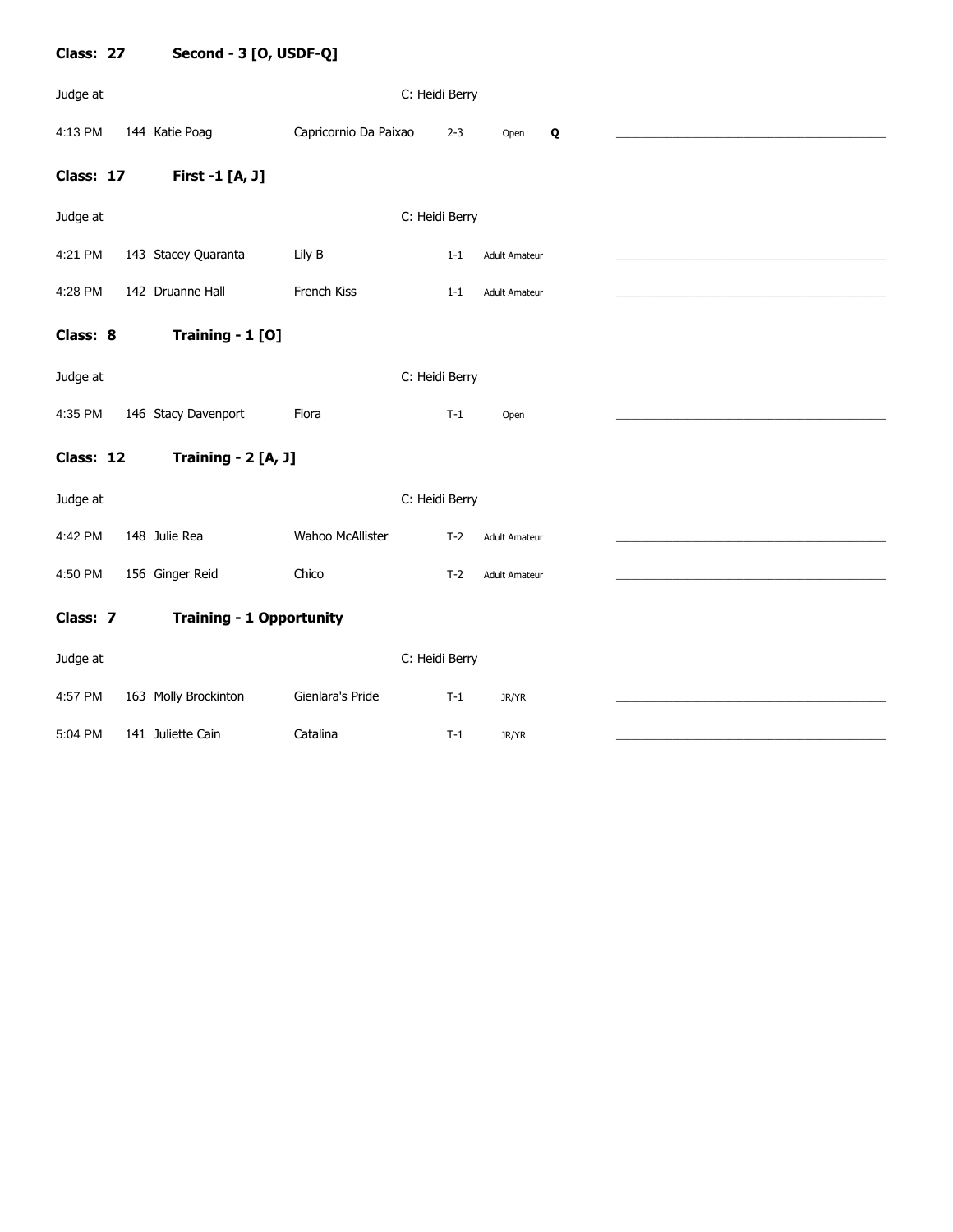| Class: 27 | Second - 3 [O, USDF-Q]          |                       |                |                      |  |
|-----------|---------------------------------|-----------------------|----------------|----------------------|--|
| Judge at  |                                 |                       | C: Heidi Berry |                      |  |
| 4:13 PM   | 144 Katie Poag                  | Capricornio Da Paixao | $2 - 3$        | Q<br>Open            |  |
| Class: 17 | First -1 [A, J]                 |                       |                |                      |  |
| Judge at  |                                 |                       | C: Heidi Berry |                      |  |
| 4:21 PM   | 143 Stacey Quaranta             | Lily B                | $1 - 1$        | <b>Adult Amateur</b> |  |
| 4:28 PM   | 142 Druanne Hall                | French Kiss           | $1 - 1$        | <b>Adult Amateur</b> |  |
| Class: 8  | Training - 1 [0]                |                       |                |                      |  |
| Judge at  |                                 |                       | C: Heidi Berry |                      |  |
| 4:35 PM   | 146 Stacy Davenport             | Fiora                 | $T-1$          | Open                 |  |
| Class: 12 | <b>Training - 2 [A, J]</b>      |                       |                |                      |  |
| Judge at  |                                 |                       | C: Heidi Berry |                      |  |
| 4:42 PM   | 148 Julie Rea                   | Wahoo McAllister      | $T-2$          | <b>Adult Amateur</b> |  |
| 4:50 PM   | 156 Ginger Reid                 | Chico                 | $T-2$          | <b>Adult Amateur</b> |  |
| Class: 7  | <b>Training - 1 Opportunity</b> |                       |                |                      |  |
| Judge at  |                                 |                       | C: Heidi Berry |                      |  |
| 4:57 PM   | 163 Molly Brockinton            | Gienlara's Pride      | $T-1$          | JR/YR                |  |
| 5:04 PM   | 141 Juliette Cain               | Catalina              | $T-1$          | JR/YR                |  |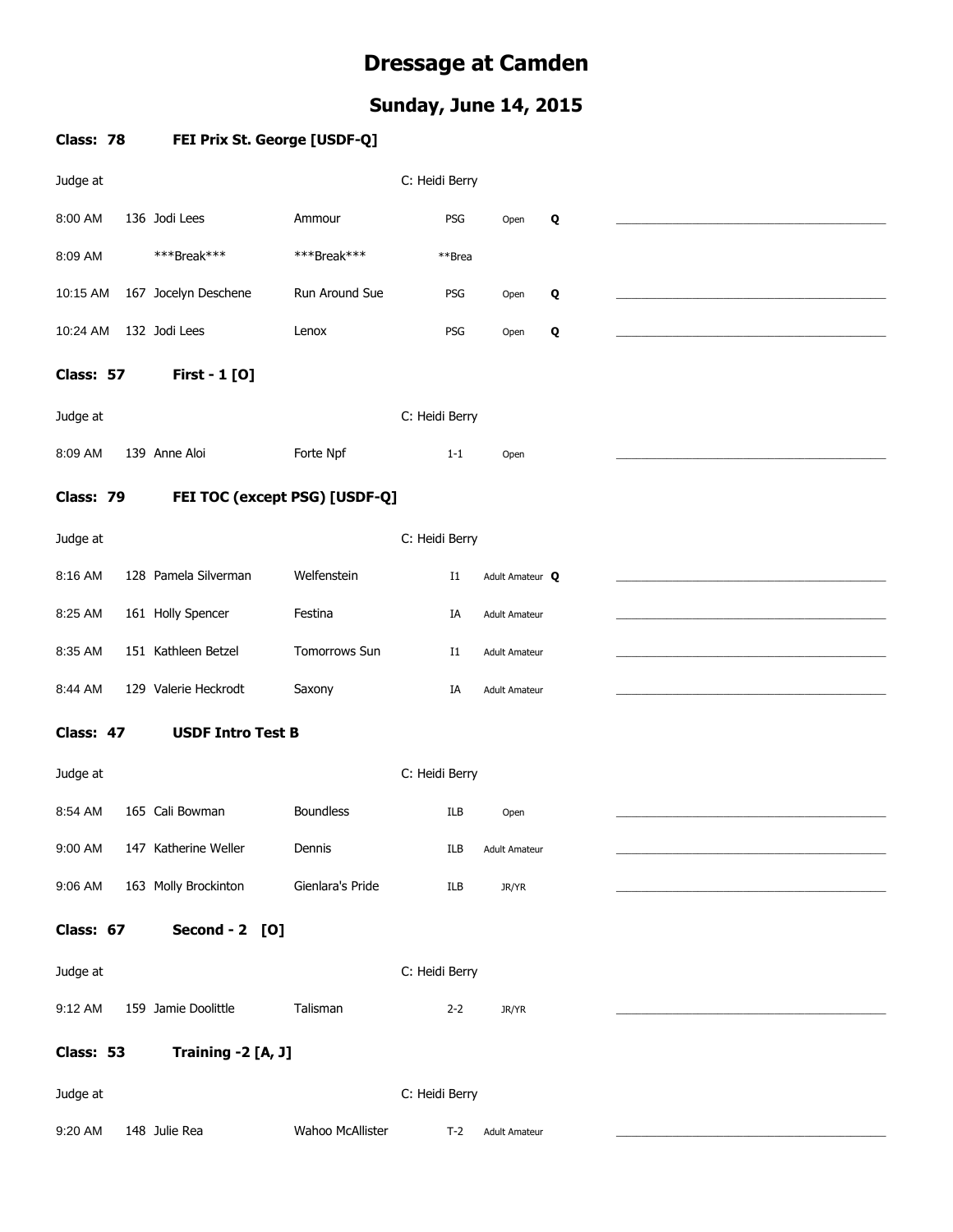## **Dressage at Camden**

### **Sunday, June 14, 2015**

| Class: 78 | FEI Prix St. George [USDF-Q]  |                  |                |                      |   |  |
|-----------|-------------------------------|------------------|----------------|----------------------|---|--|
| Judge at  |                               |                  | C: Heidi Berry |                      |   |  |
| 8:00 AM   | 136 Jodi Lees                 | Ammour           | PSG            | Open                 | Q |  |
| 8:09 AM   | ***Break***                   | ***Break***      | **Brea         |                      |   |  |
| 10:15 AM  | 167 Jocelyn Deschene          | Run Around Sue   | PSG            | Open                 | Q |  |
| 10:24 AM  | 132 Jodi Lees                 | Lenox            | PSG            | Open                 | Q |  |
| Class: 57 | <b>First - 1 [0]</b>          |                  |                |                      |   |  |
| Judge at  |                               |                  | C: Heidi Berry |                      |   |  |
| 8:09 AM   | 139 Anne Aloi                 | Forte Npf        | $1 - 1$        | Open                 |   |  |
| Class: 79 | FEI TOC (except PSG) [USDF-Q] |                  |                |                      |   |  |
| Judge at  |                               |                  | C: Heidi Berry |                      |   |  |
| 8:16 AM   | 128 Pamela Silverman          | Welfenstein      | $_{\rm I1}$    | Adult Amateur Q      |   |  |
| 8:25 AM   | 161 Holly Spencer             | Festina          | IA             | <b>Adult Amateur</b> |   |  |
| 8:35 AM   | 151 Kathleen Betzel           | Tomorrows Sun    | <b>I1</b>      | <b>Adult Amateur</b> |   |  |
| 8:44 AM   | 129 Valerie Heckrodt          | Saxony           | IA             | <b>Adult Amateur</b> |   |  |
| Class: 47 | <b>USDF Intro Test B</b>      |                  |                |                      |   |  |
| Judge at  |                               |                  | C: Heidi Berry |                      |   |  |
| 8:54 AM   | 165 Cali Bowman               | <b>Boundless</b> | ILB            | Open                 |   |  |
| 9:00 AM   | 147 Katherine Weller          | Dennis           | ILB            | <b>Adult Amateur</b> |   |  |
| 9:06 AM   | 163 Molly Brockinton          | Gienlara's Pride | ILB            | JR/YR                |   |  |
| Class: 67 | Second - 2 [O]                |                  |                |                      |   |  |
| Judge at  |                               |                  | C: Heidi Berry |                      |   |  |
| 9:12 AM   | 159 Jamie Doolittle           | Talisman         | $2 - 2$        | JR/YR                |   |  |
| Class: 53 | Training -2 [A, J]            |                  |                |                      |   |  |
| Judge at  |                               |                  | C: Heidi Berry |                      |   |  |
| 9:20 AM   | 148 Julie Rea                 | Wahoo McAllister | $T-2$          | <b>Adult Amateur</b> |   |  |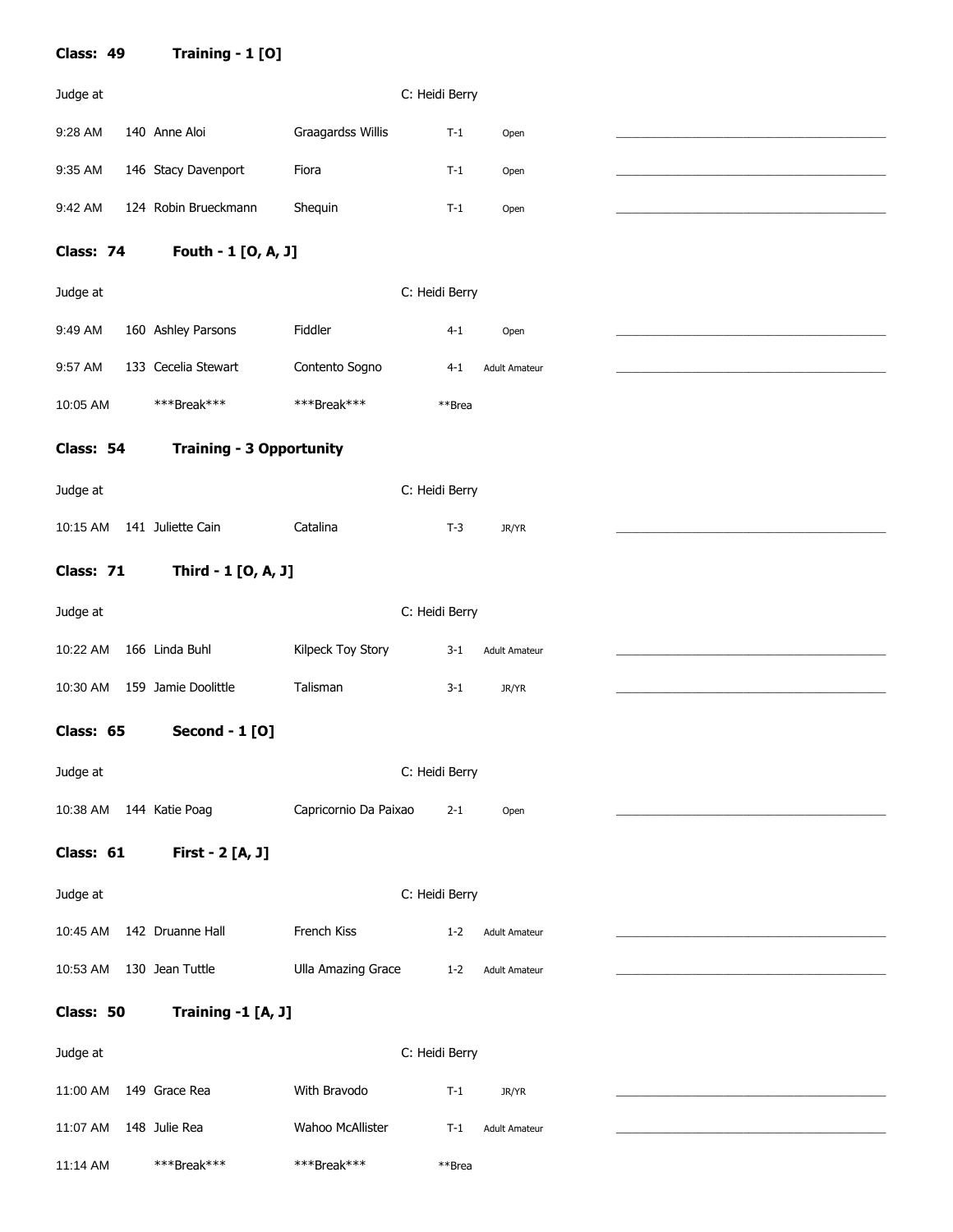| Class: 49 | Training - 1 [O]                |                           |                |                      |  |
|-----------|---------------------------------|---------------------------|----------------|----------------------|--|
| Judge at  |                                 |                           | C: Heidi Berry |                      |  |
| 9:28 AM   | 140 Anne Aloi                   | Graagardss Willis         | $T-1$          | Open                 |  |
| 9:35 AM   | 146 Stacy Davenport             | Fiora                     | $T-1$          | Open                 |  |
| 9:42 AM   | 124 Robin Brueckmann            | Shequin                   | $T-1$          | Open                 |  |
| Class: 74 | Fouth - 1 [O, A, J]             |                           |                |                      |  |
| Judge at  |                                 |                           | C: Heidi Berry |                      |  |
| 9:49 AM   | 160 Ashley Parsons              | Fiddler                   | $4 - 1$        | Open                 |  |
| 9:57 AM   | 133 Cecelia Stewart             | Contento Sogno            | $4 - 1$        | <b>Adult Amateur</b> |  |
| 10:05 AM  | ***Break***                     | ***Break***               | **Brea         |                      |  |
| Class: 54 | <b>Training - 3 Opportunity</b> |                           |                |                      |  |
| Judge at  |                                 |                           | C: Heidi Berry |                      |  |
| 10:15 AM  | 141 Juliette Cain               | Catalina                  | $T-3$          | JR/YR                |  |
| Class: 71 | Third - 1 [O, A, J]             |                           |                |                      |  |
| Judge at  |                                 |                           | C: Heidi Berry |                      |  |
| 10:22 AM  | 166 Linda Buhl                  | Kilpeck Toy Story         | $3 - 1$        | <b>Adult Amateur</b> |  |
| 10:30 AM  | 159 Jamie Doolittle             | Talisman                  |                |                      |  |
|           |                                 |                           | $3-1$          | JR/YR                |  |
| Class: 65 | <b>Second - 1 [O]</b>           |                           |                |                      |  |
| Judge at  |                                 |                           | C: Heidi Berry |                      |  |
| 10:38 AM  | 144 Katie Poag                  | Capricornio Da Paixao     | $2 - 1$        | Open                 |  |
| Class: 61 | First - 2 [A, J]                |                           |                |                      |  |
| Judge at  |                                 |                           | C: Heidi Berry |                      |  |
| 10:45 AM  | 142 Druanne Hall                | French Kiss               | $1 - 2$        | <b>Adult Amateur</b> |  |
| 10:53 AM  | 130 Jean Tuttle                 | <b>Ulla Amazing Grace</b> | $1 - 2$        | <b>Adult Amateur</b> |  |
| Class: 50 | Training -1 [A, J]              |                           |                |                      |  |
| Judge at  |                                 |                           | C: Heidi Berry |                      |  |
| 11:00 AM  | 149 Grace Rea                   | With Bravodo              | $T-1$          | JR/YR                |  |
| 11:07 AM  | 148 Julie Rea                   | Wahoo McAllister          | $T-1$          | Adult Amateur        |  |
| 11:14 AM  | ***Break***                     | ***Break***               | **Brea         |                      |  |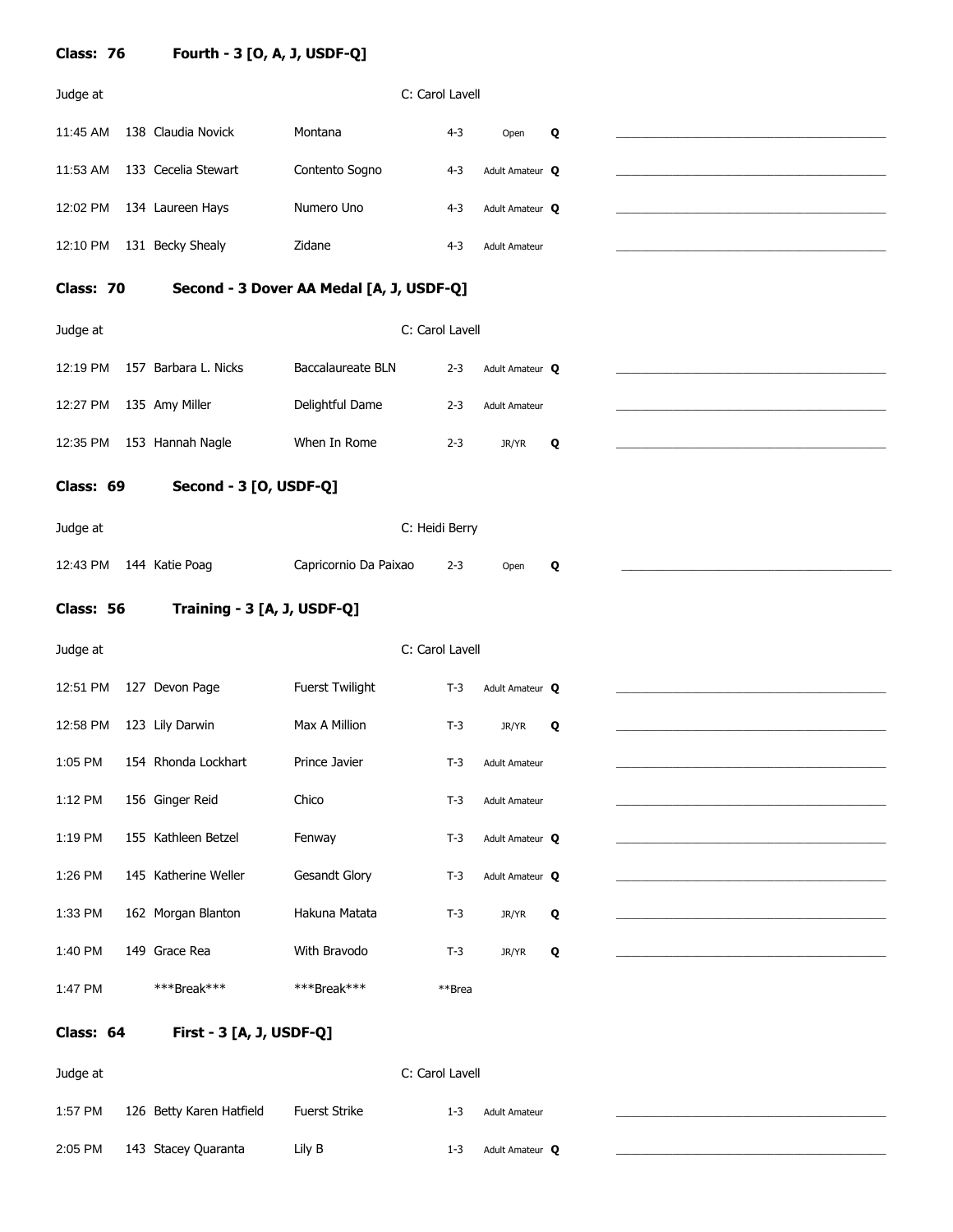| Class: 76 | Fourth - 3 [O, A, J, USDF-Q] |                                          |                 |                      |   |  |
|-----------|------------------------------|------------------------------------------|-----------------|----------------------|---|--|
| Judge at  |                              |                                          | C: Carol Lavell |                      |   |  |
| 11:45 AM  | 138 Claudia Novick           | Montana                                  | $4-3$           | Open                 | Q |  |
| 11:53 AM  | 133 Cecelia Stewart          | Contento Sogno                           | $4-3$           | Adult Amateur Q      |   |  |
| 12:02 PM  | 134 Laureen Hays             | Numero Uno                               | $4 - 3$         | Adult Amateur Q      |   |  |
| 12:10 PM  | 131 Becky Shealy             | Zidane                                   | $4 - 3$         | <b>Adult Amateur</b> |   |  |
| Class: 70 |                              | Second - 3 Dover AA Medal [A, J, USDF-Q] |                 |                      |   |  |
| Judge at  |                              |                                          | C: Carol Lavell |                      |   |  |
| 12:19 PM  | 157 Barbara L. Nicks         | <b>Baccalaureate BLN</b>                 | $2 - 3$         | Adult Amateur Q      |   |  |
| 12:27 PM  | 135 Amy Miller               | Delightful Dame                          | $2 - 3$         | <b>Adult Amateur</b> |   |  |
| 12:35 PM  | 153 Hannah Nagle             | When In Rome                             | $2 - 3$         | JR/YR                | Q |  |
| Class: 69 | Second - 3 [O, USDF-Q]       |                                          |                 |                      |   |  |
| Judge at  |                              |                                          | C: Heidi Berry  |                      |   |  |
| 12:43 PM  | 144 Katie Poag               | Capricornio Da Paixao                    | $2 - 3$         | Open                 | Q |  |
| Class: 56 | Training - 3 [A, J, USDF-Q]  |                                          |                 |                      |   |  |
| Judge at  |                              |                                          | C: Carol Lavell |                      |   |  |
| 12:51 PM  | 127 Devon Page               | Fuerst Twilight                          | $T-3$           | Adult Amateur Q      |   |  |
| 12:58 PM  | 123 Lily Darwin              | Max A Million                            | $T-3$           | JR/YR                | Q |  |
| 1:05 PM   | 154 Rhonda Lockhart          | Prince Javier                            | $T-3$           | <b>Adult Amateur</b> |   |  |
| 1:12 PM   | 156 Ginger Reid              | Chico                                    | $T-3$           | <b>Adult Amateur</b> |   |  |
| 1:19 PM   | 155 Kathleen Betzel          | Fenway                                   | $T-3$           | Adult Amateur Q      |   |  |
| 1:26 PM   | 145 Katherine Weller         | <b>Gesandt Glory</b>                     | $T-3$           | Adult Amateur Q      |   |  |
| 1:33 PM   | 162 Morgan Blanton           | Hakuna Matata                            | $T-3$           | JR/YR                | Q |  |
| 1:40 PM   | 149 Grace Rea                | With Bravodo                             | $T-3$           | JR/YR                | Q |  |
| 1:47 PM   | ***Break***                  | ***Break***                              | **Brea          |                      |   |  |
| Class: 64 | First - 3 [A, J, USDF-Q]     |                                          |                 |                      |   |  |
| Judge at  |                              |                                          | C: Carol Lavell |                      |   |  |
| 1:57 PM   | 126 Betty Karen Hatfield     | <b>Fuerst Strike</b>                     | $1 - 3$         | <b>Adult Amateur</b> |   |  |
| 2:05 PM   | 143 Stacey Quaranta          | Lily B                                   | $1 - 3$         | Adult Amateur Q      |   |  |